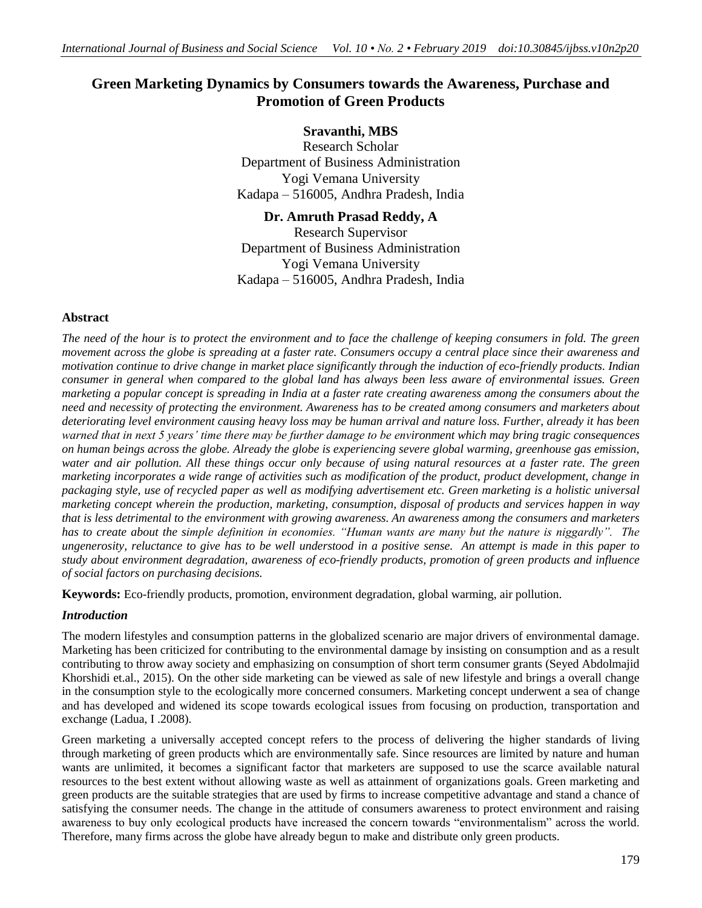# **Green Marketing Dynamics by Consumers towards the Awareness, Purchase and Promotion of Green Products**

**Sravanthi, MBS** Research Scholar Department of Business Administration Yogi Vemana University Kadapa – 516005, Andhra Pradesh, India

# **Dr. Amruth Prasad Reddy, A**

Research Supervisor Department of Business Administration Yogi Vemana University Kadapa – 516005, Andhra Pradesh, India

# **Abstract**

*The need of the hour is to protect the environment and to face the challenge of keeping consumers in fold. The green movement across the globe is spreading at a faster rate. Consumers occupy a central place since their awareness and motivation continue to drive change in market place significantly through the induction of eco-friendly products. Indian consumer in general when compared to the global land has always been less aware of environmental issues. Green marketing a popular concept is spreading in India at a faster rate creating awareness among the consumers about the need and necessity of protecting the environment. Awareness has to be created among consumers and marketers about deteriorating level environment causing heavy loss may be human arrival and nature loss. Further, already it has been warned that in next 5 years' time there may be further damage to be environment which may bring tragic consequences on human beings across the globe. Already the globe is experiencing severe global warming, greenhouse gas emission, water and air pollution. All these things occur only because of using natural resources at a faster rate. The green marketing incorporates a wide range of activities such as modification of the product, product development, change in packaging style, use of recycled paper as well as modifying advertisement etc. Green marketing is a holistic universal marketing concept wherein the production, marketing, consumption, disposal of products and services happen in way that is less detrimental to the environment with growing awareness. An awareness among the consumers and marketers has to create about the simple definition in economies. "Human wants are many but the nature is niggardly". The ungenerosity, reluctance to give has to be well understood in a positive sense. An attempt is made in this paper to study about environment degradation, awareness of eco-friendly products, promotion of green products and influence of social factors on purchasing decisions.*

**Keywords:** Eco-friendly products, promotion, environment degradation, global warming, air pollution.

### *Introduction*

The modern lifestyles and consumption patterns in the globalized scenario are major drivers of environmental damage. Marketing has been criticized for contributing to the environmental damage by insisting on consumption and as a result contributing to throw away society and emphasizing on consumption of short term consumer grants (Seyed Abdolmajid Khorshidi et.al., 2015). On the other side marketing can be viewed as sale of new lifestyle and brings a overall change in the consumption style to the ecologically more concerned consumers. Marketing concept underwent a sea of change and has developed and widened its scope towards ecological issues from focusing on production, transportation and exchange (Ladua, I .2008).

Green marketing a universally accepted concept refers to the process of delivering the higher standards of living through marketing of green products which are environmentally safe. Since resources are limited by nature and human wants are unlimited, it becomes a significant factor that marketers are supposed to use the scarce available natural resources to the best extent without allowing waste as well as attainment of organizations goals. Green marketing and green products are the suitable strategies that are used by firms to increase competitive advantage and stand a chance of satisfying the consumer needs. The change in the attitude of consumers awareness to protect environment and raising awareness to buy only ecological products have increased the concern towards "environmentalism" across the world. Therefore, many firms across the globe have already begun to make and distribute only green products.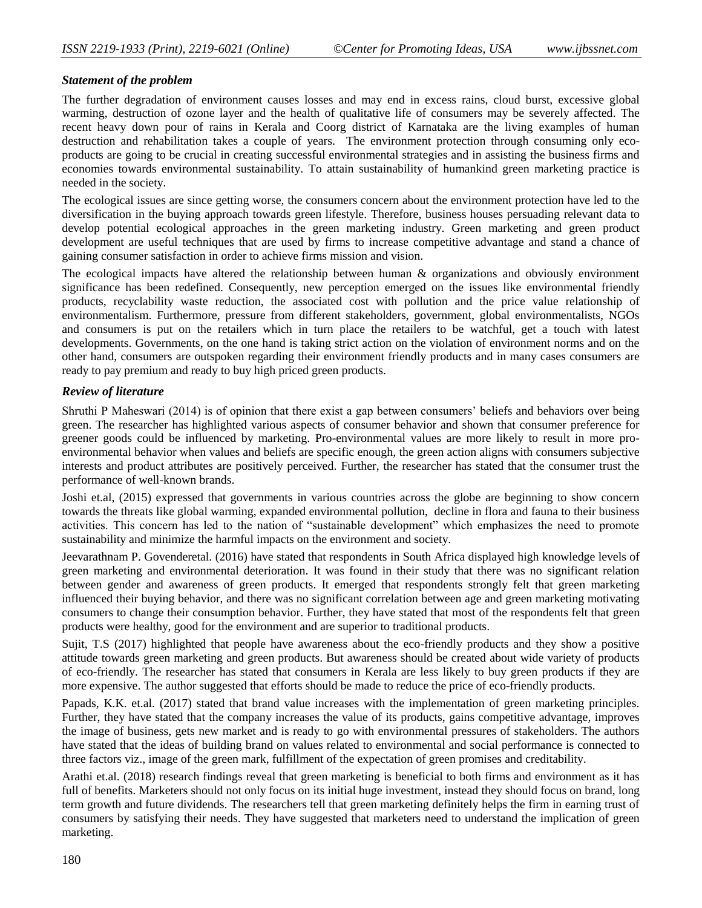#### *Statement of the problem*

The further degradation of environment causes losses and may end in excess rains, cloud burst, excessive global warming, destruction of ozone layer and the health of qualitative life of consumers may be severely affected. The recent heavy down pour of rains in Kerala and Coorg district of Karnataka are the living examples of human destruction and rehabilitation takes a couple of years. The environment protection through consuming only ecoproducts are going to be crucial in creating successful environmental strategies and in assisting the business firms and economies towards environmental sustainability. To attain sustainability of humankind green marketing practice is needed in the society.

The ecological issues are since getting worse, the consumers concern about the environment protection have led to the diversification in the buying approach towards green lifestyle. Therefore, business houses persuading relevant data to develop potential ecological approaches in the green marketing industry. Green marketing and green product development are useful techniques that are used by firms to increase competitive advantage and stand a chance of gaining consumer satisfaction in order to achieve firms mission and vision.

The ecological impacts have altered the relationship between human & organizations and obviously environment significance has been redefined. Consequently, new perception emerged on the issues like environmental friendly products, recyclability waste reduction, the associated cost with pollution and the price value relationship of environmentalism. Furthermore, pressure from different stakeholders, government, global environmentalists, NGOs and consumers is put on the retailers which in turn place the retailers to be watchful, get a touch with latest developments. Governments, on the one hand is taking strict action on the violation of environment norms and on the other hand, consumers are outspoken regarding their environment friendly products and in many cases consumers are ready to pay premium and ready to buy high priced green products.

#### *Review of literature*

Shruthi P Maheswari (2014) is of opinion that there exist a gap between consumers' beliefs and behaviors over being green. The researcher has highlighted various aspects of consumer behavior and shown that consumer preference for greener goods could be influenced by marketing. Pro-environmental values are more likely to result in more proenvironmental behavior when values and beliefs are specific enough, the green action aligns with consumers subjective interests and product attributes are positively perceived. Further, the researcher has stated that the consumer trust the performance of well-known brands.

Joshi et.al, (2015) expressed that governments in various countries across the globe are beginning to show concern towards the threats like global warming, expanded environmental pollution, decline in flora and fauna to their business activities. This concern has led to the nation of "sustainable development" which emphasizes the need to promote sustainability and minimize the harmful impacts on the environment and society.

Jeevarathnam P. Govenderetal. (2016) have stated that respondents in South Africa displayed high knowledge levels of green marketing and environmental deterioration. It was found in their study that there was no significant relation between gender and awareness of green products. It emerged that respondents strongly felt that green marketing influenced their buying behavior, and there was no significant correlation between age and green marketing motivating consumers to change their consumption behavior. Further, they have stated that most of the respondents felt that green products were healthy, good for the environment and are superior to traditional products.

Sujit, T.S (2017) highlighted that people have awareness about the eco-friendly products and they show a positive attitude towards green marketing and green products. But awareness should be created about wide variety of products of eco-friendly. The researcher has stated that consumers in Kerala are less likely to buy green products if they are more expensive. The author suggested that efforts should be made to reduce the price of eco-friendly products.

Papads, K.K. et.al. (2017) stated that brand value increases with the implementation of green marketing principles. Further, they have stated that the company increases the value of its products, gains competitive advantage, improves the image of business, gets new market and is ready to go with environmental pressures of stakeholders. The authors have stated that the ideas of building brand on values related to environmental and social performance is connected to three factors viz., image of the green mark, fulfillment of the expectation of green promises and creditability.

Arathi et.al. (2018) research findings reveal that green marketing is beneficial to both firms and environment as it has full of benefits. Marketers should not only focus on its initial huge investment, instead they should focus on brand, long term growth and future dividends. The researchers tell that green marketing definitely helps the firm in earning trust of consumers by satisfying their needs. They have suggested that marketers need to understand the implication of green marketing.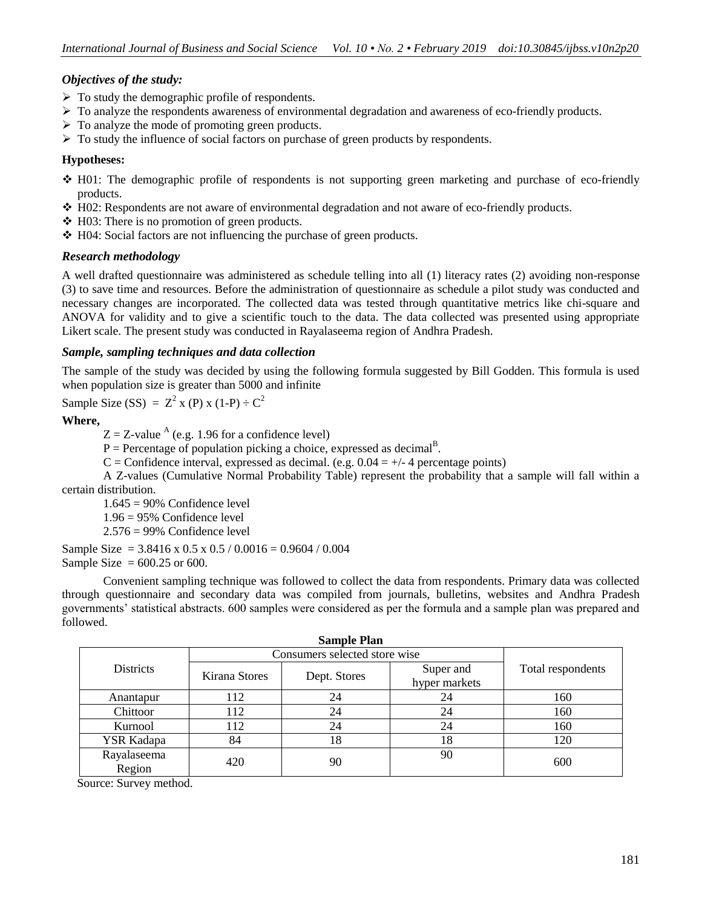### *Objectives of the study:*

- $\triangleright$  To study the demographic profile of respondents.
- $\triangleright$  To analyze the respondents awareness of environmental degradation and awareness of eco-friendly products.
- $\triangleright$  To analyze the mode of promoting green products.
- $\triangleright$  To study the influence of social factors on purchase of green products by respondents.

### **Hypotheses:**

- $\div$  H01: The demographic profile of respondents is not supporting green marketing and purchase of eco-friendly products.
- $\div$  H02: Respondents are not aware of environmental degradation and not aware of eco-friendly products.
- $\div$  H03: There is no promotion of green products.
- $\div$  H04: Social factors are not influencing the purchase of green products.

### *Research methodology*

A well drafted questionnaire was administered as schedule telling into all (1) literacy rates (2) avoiding non-response (3) to save time and resources. Before the administration of questionnaire as schedule a pilot study was conducted and necessary changes are incorporated. The collected data was tested through quantitative metrics like chi-square and ANOVA for validity and to give a scientific touch to the data. The data collected was presented using appropriate Likert scale. The present study was conducted in Rayalaseema region of Andhra Pradesh.

#### *Sample, sampling techniques and data collection*

The sample of the study was decided by using the following formula suggested by Bill Godden. This formula is used when population size is greater than 5000 and infinite

Sample Size (SS) =  $Z^2$  x (P) x (1-P) ÷  $C^2$ 

#### **Where,**

 $Z = Z$ -value  $^{A}$  (e.g. 1.96 for a confidence level)

 $P =$  Percentage of population picking a choice, expressed as decimal<sup>B</sup>.

 $C =$ Confidence interval, expressed as decimal. (e.g.  $0.04 = +/-4$  percentage points)

A Z-values (Cumulative Normal Probability Table) represent the probability that a sample will fall within a certain distribution.

 $1.645 = 90\%$  Confidence level  $1.96 = 95\%$  Confidence level 2.576 = 99% Confidence level

Sample Size =  $3.8416 \times 0.5 \times 0.5 / 0.0016 = 0.9604 / 0.004$ Sample Size  $= 600.25$  or 600.

Convenient sampling technique was followed to collect the data from respondents. Primary data was collected through questionnaire and secondary data was compiled from journals, bulletins, websites and Andhra Pradesh governments' statistical abstracts. 600 samples were considered as per the formula and a sample plan was prepared and followed.

|                       |               | <b>Sample Plan</b>            |                            |                   |
|-----------------------|---------------|-------------------------------|----------------------------|-------------------|
|                       |               | Consumers selected store wise |                            |                   |
| <b>Districts</b>      | Kirana Stores | Dept. Stores                  | Super and<br>hyper markets | Total respondents |
| Anantapur             | 112           | 24                            | 24                         | 160               |
| Chittoor              | 112           | 24                            | 24                         | 160               |
| Kurnool               | 112           | 24                            | 24                         | 160               |
| <b>YSR Kadapa</b>     | 84            | 18                            | 18                         | 120               |
| Rayalaseema<br>Region | 420           | 90                            | 90                         | 600               |

Source: Survey method.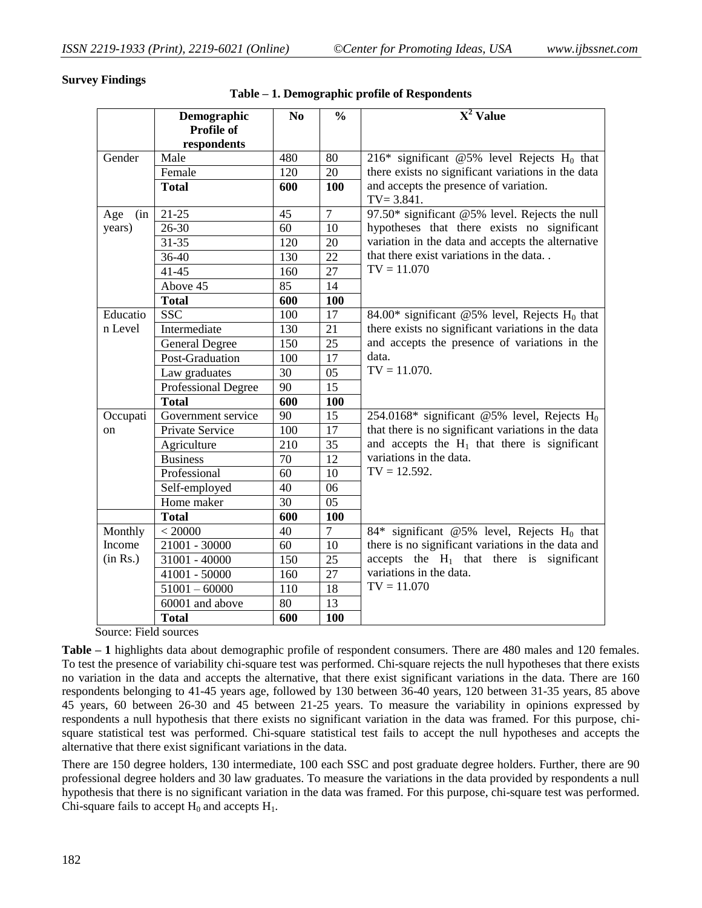#### **Survey Findings**

|            | Demographic           | N <sub>0</sub> | $\frac{0}{0}$   | $X^2$ Value                                               |
|------------|-----------------------|----------------|-----------------|-----------------------------------------------------------|
|            | <b>Profile of</b>     |                |                 |                                                           |
|            | respondents           |                |                 |                                                           |
| Gender     | Male                  | 480            | 80              | $216*$ significant @5% level Rejects H <sub>0</sub> that  |
|            | Female                | 120            | 20              | there exists no significant variations in the data        |
|            | <b>Total</b>          | 600            | 100             | and accepts the presence of variation.<br>$TV = 3.841$ .  |
| Age<br>(in | $21 - 25$             | 45             | $\overline{7}$  | 97.50* significant @5% level. Rejects the null            |
| years)     | $26 - 30$             | 60             | 10              | hypotheses that there exists no significant               |
|            | $31 - 35$             | 120            | 20              | variation in the data and accepts the alternative         |
|            | 36-40                 | 130            | 22              | that there exist variations in the data                   |
|            | $41 - 45$             | 160            | $\overline{27}$ | $TV = 11.070$                                             |
|            | Above 45              | 85             | 14              |                                                           |
|            | <b>Total</b>          | 600            | 100             |                                                           |
| Educatio   | <b>SSC</b>            | 100            | 17              | 84.00* significant @5% level, Rejects $H_0$ that          |
| n Level    | Intermediate          | 130            | 21              | there exists no significant variations in the data        |
|            | <b>General Degree</b> | 150            | 25              | and accepts the presence of variations in the             |
|            | Post-Graduation       | 100            | 17              | data.                                                     |
|            | Law graduates         | 30             | 05              | $TV = 11.070.$                                            |
|            | Professional Degree   | 90             | 15              |                                                           |
|            | <b>Total</b>          | 600            | 100             |                                                           |
| Occupati   | Government service    | 90             | 15              | 254.0168* significant @5% level, Rejects $H_0$            |
| on         | Private Service       | 100            | 17              | that there is no significant variations in the data       |
|            | Agriculture           | 210            | 35              | and accepts the $H_1$ that there is significant           |
|            | <b>Business</b>       | 70             | 12              | variations in the data.                                   |
|            | Professional          | 60             | 10              | $TV = 12.592.$                                            |
|            | Self-employed         | 40             | 06              |                                                           |
|            | Home maker            | 30             | 05              |                                                           |
|            | <b>Total</b>          | 600            | 100             |                                                           |
| Monthly    | < 20000               | 40             | $\overline{7}$  | 84* significant $@5\%$ level, Rejects H <sub>0</sub> that |
| Income     | 21001 - 30000         | 60             | 10              | there is no significant variations in the data and        |
| (in Rs.)   | 31001 - 40000         | 150            | 25              | accepts the $H_1$ that there is significant               |
|            | 41001 - 50000         | 160            | $\overline{27}$ | variations in the data.                                   |
|            | $51001 - 60000$       | 110            | 18              | $TV = 11.070$                                             |
|            | 60001 and above       | 80             | 13              |                                                           |
|            | <b>Total</b>          | 600            | 100             |                                                           |

**Table – 1. Demographic profile of Respondents**

Source: Field sources

**Table – 1** highlights data about demographic profile of respondent consumers. There are 480 males and 120 females. To test the presence of variability chi-square test was performed. Chi-square rejects the null hypotheses that there exists no variation in the data and accepts the alternative, that there exist significant variations in the data. There are 160 respondents belonging to 41-45 years age, followed by 130 between 36-40 years, 120 between 31-35 years, 85 above 45 years, 60 between 26-30 and 45 between 21-25 years. To measure the variability in opinions expressed by respondents a null hypothesis that there exists no significant variation in the data was framed. For this purpose, chisquare statistical test was performed. Chi-square statistical test fails to accept the null hypotheses and accepts the alternative that there exist significant variations in the data.

There are 150 degree holders, 130 intermediate, 100 each SSC and post graduate degree holders. Further, there are 90 professional degree holders and 30 law graduates. To measure the variations in the data provided by respondents a null hypothesis that there is no significant variation in the data was framed. For this purpose, chi-square test was performed. Chi-square fails to accept  $H_0$  and accepts  $H_1$ .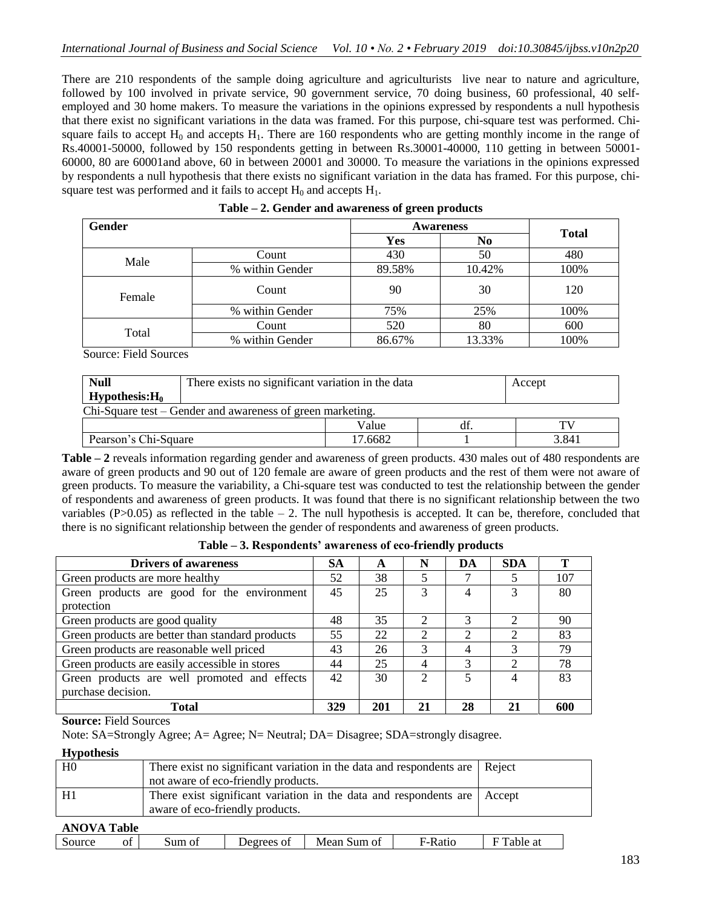There are 210 respondents of the sample doing agriculture and agriculturists live near to nature and agriculture, followed by 100 involved in private service, 90 government service, 70 doing business, 60 professional, 40 selfemployed and 30 home makers. To measure the variations in the opinions expressed by respondents a null hypothesis that there exist no significant variations in the data was framed. For this purpose, chi-square test was performed. Chisquare fails to accept  $H_0$  and accepts  $H_1$ . There are 160 respondents who are getting monthly income in the range of Rs.40001-50000, followed by 150 respondents getting in between Rs.30001-40000, 110 getting in between 50001- 60000, 80 are 60001and above, 60 in between 20001 and 30000. To measure the variations in the opinions expressed by respondents a null hypothesis that there exists no significant variation in the data has framed. For this purpose, chisquare test was performed and it fails to accept  $H_0$  and accepts  $H_1$ .

| Gender |                 |        | <b>Awareness</b> | <b>Total</b> |  |
|--------|-----------------|--------|------------------|--------------|--|
|        |                 | Yes    | No               |              |  |
|        | Count           | 430    | 50               | 480          |  |
| Male   | % within Gender | 89.58% | 10.42%           | 100%         |  |
| Female | Count           | 90     | 30               | 120          |  |
|        | % within Gender | 75%    | 25%              | 100%         |  |
|        | Count           | 520    | 80               | 600          |  |
| Total  | % within Gender | 86.67% | 13.33%           | 100%         |  |

|  |  | Table - 2. Gender and awareness of green products |  |  |
|--|--|---------------------------------------------------|--|--|
|  |  |                                                   |  |  |

Source: Field Sources

| <b>Null</b>                                                | There exists no significant variation in the data | Accept |  |  |  |  |  |
|------------------------------------------------------------|---------------------------------------------------|--------|--|--|--|--|--|
| Hypothesis: H <sub>0</sub>                                 |                                                   |        |  |  |  |  |  |
| Chi-Square test – Gender and awareness of green marketing. |                                                   |        |  |  |  |  |  |
|                                                            | Value<br>df.                                      |        |  |  |  |  |  |
|                                                            | Pearson's Chi-Square<br>17.6682                   |        |  |  |  |  |  |

**Table – 2** reveals information regarding gender and awareness of green products. 430 males out of 480 respondents are aware of green products and 90 out of 120 female are aware of green products and the rest of them were not aware of green products. To measure the variability, a Chi-square test was conducted to test the relationship between the gender of respondents and awareness of green products. It was found that there is no significant relationship between the two variables  $(P>0.05)$  as reflected in the table  $-2$ . The null hypothesis is accepted. It can be, therefore, concluded that there is no significant relationship between the gender of respondents and awareness of green products.

| <b>Drivers of awareness</b>                      | SА  | A   |                             | DA | <b>SDA</b> |     |
|--------------------------------------------------|-----|-----|-----------------------------|----|------------|-----|
| Green products are more healthy                  | 52  | 38  |                             |    |            | 107 |
| Green products are good for the environment      | 45  | 25  | 3                           | 4  |            | 80  |
| protection                                       |     |     |                             |    |            |     |
| Green products are good quality                  | 48  | 35  | $\mathcal{D}$               | 3  | ↑          | 90  |
| Green products are better than standard products | 55  | 22  | $\mathcal{D}_{\mathcal{L}}$ | ↑  |            | 83  |
| Green products are reasonable well priced        | 43  | 26  | 3                           | 4  |            | 79  |
| Green products are easily accessible in stores   | 44  | 25  |                             | 3  |            | 78  |
| Green products are well promoted and effects     | 42  | 30  | 2                           |    | 4          | 83  |
| purchase decision.                               |     |     |                             |    |            |     |
| Total                                            | 329 | 201 |                             | 28 |            | 600 |

**Table – 3. Respondents' awareness of eco-friendly products**

**Source:** Field Sources

Note: SA=Strongly Agree; A= Agree; N= Neutral; DA= Disagree; SDA=strongly disagree.

#### **Hypothesis**

| - -<br>H <sub>0</sub> | There exist no significant variation in the data and respondents are Reject |  |
|-----------------------|-----------------------------------------------------------------------------|--|
|                       | not aware of eco-friendly products.                                         |  |
| H <sub>1</sub>        | There exist significant variation in the data and respondents are Accept    |  |
|                       | aware of eco-friendly products.                                             |  |

### **ANOVA Table**

| -<br>source<br>$. 100$ reec<br>Mean<br>Sum<br>Sum of<br>$\sim$ t<br>-01<br>able<br>$\sim$<br>$\sim$<br>-Katıo<br>- UI<br>ះបោ<br>-ai<br>vι<br>__<br>__ |
|-------------------------------------------------------------------------------------------------------------------------------------------------------|
|-------------------------------------------------------------------------------------------------------------------------------------------------------|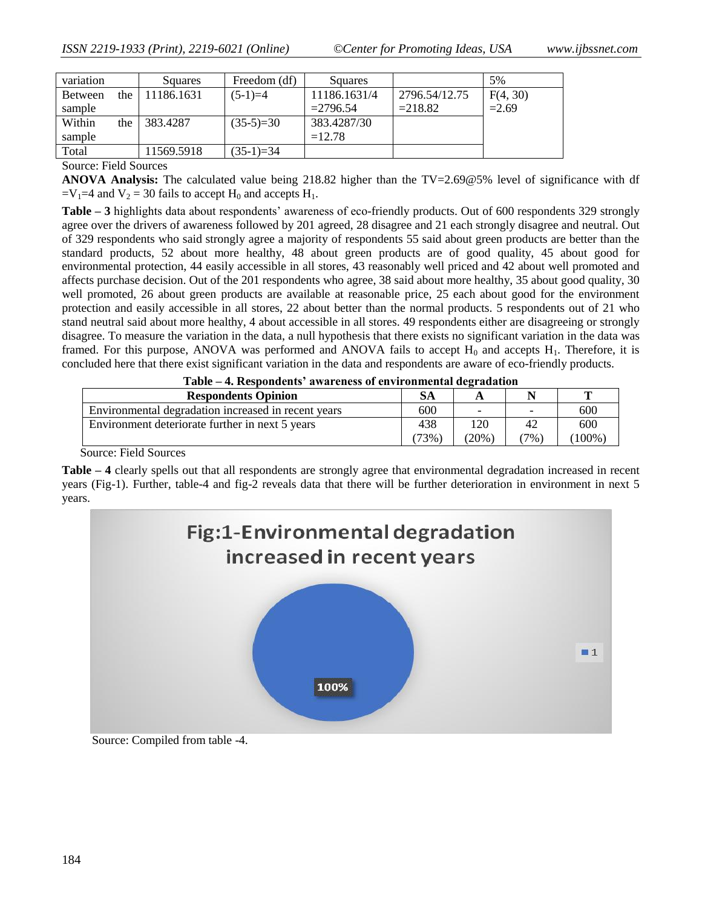| variation      |     | Squares    | Freedom (df) | <b>Squares</b> |               | 5%       |
|----------------|-----|------------|--------------|----------------|---------------|----------|
| <b>Between</b> | the | 11186.1631 | $(5-1)=4$    | 11186.1631/4   | 2796.54/12.75 | F(4, 30) |
| sample         |     |            |              | $= 2796.54$    | $= 218.82$    | $=2.69$  |
| Within         | the | 383.4287   | $(35-5)=30$  | 383.4287/30    |               |          |
| sample         |     |            |              | $=12.78$       |               |          |
| Total          |     | 11569.5918 | $(35-1)=34$  |                |               |          |

#### Source: Field Sources

**ANOVA Analysis:** The calculated value being 218.82 higher than the TV=2.69@5% level of significance with df  $=V_1=4$  and  $V_2=30$  fails to accept H<sub>0</sub> and accepts H<sub>1</sub>.

**Table – 3** highlights data about respondents' awareness of eco-friendly products. Out of 600 respondents 329 strongly agree over the drivers of awareness followed by 201 agreed, 28 disagree and 21 each strongly disagree and neutral. Out of 329 respondents who said strongly agree a majority of respondents 55 said about green products are better than the standard products, 52 about more healthy, 48 about green products are of good quality, 45 about good for environmental protection, 44 easily accessible in all stores, 43 reasonably well priced and 42 about well promoted and affects purchase decision. Out of the 201 respondents who agree, 38 said about more healthy, 35 about good quality, 30 well promoted, 26 about green products are available at reasonable price, 25 each about good for the environment protection and easily accessible in all stores, 22 about better than the normal products. 5 respondents out of 21 who stand neutral said about more healthy, 4 about accessible in all stores. 49 respondents either are disagreeing or strongly disagree. To measure the variation in the data, a null hypothesis that there exists no significant variation in the data was framed. For this purpose, ANOVA was performed and ANOVA fails to accept  $H_0$  and accepts  $H_1$ . Therefore, it is concluded here that there exist significant variation in the data and respondents are aware of eco-friendly products.

| <b>Respondents Opinion</b>                          | <b>SA</b> |                          |                          |         |
|-----------------------------------------------------|-----------|--------------------------|--------------------------|---------|
| Environmental degradation increased in recent years | 600       | $\overline{\phantom{0}}$ | $\overline{\phantom{0}}$ | 600     |
| Environment deteriorate further in next 5 years     | 438       | 120                      | 42                       | 600     |
|                                                     | (73%      | $(20\%)$                 | (7%)                     | $100\%$ |
| Source: Field Sources                               |           |                          |                          |         |

|  |  | Table - 4. Respondents' awareness of environmental degradation |  |
|--|--|----------------------------------------------------------------|--|
|  |  |                                                                |  |

**Table – 4** clearly spells out that all respondents are strongly agree that environmental degradation increased in recent years (Fig-1). Further, table-4 and fig-2 reveals data that there will be further deterioration in environment in next 5 years.



Source: Compiled from table -4.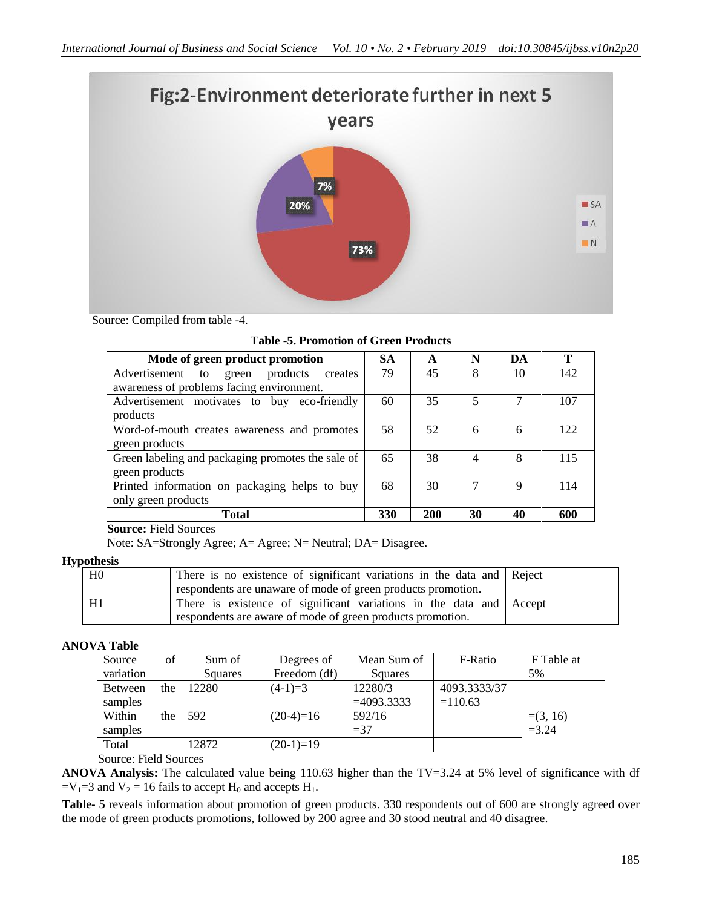

Source: Compiled from table -4.

**Table -5. Promotion of Green Products**

| Mode of green product promotion                   | <b>SA</b> | A   | N  | DA | т    |
|---------------------------------------------------|-----------|-----|----|----|------|
| green products<br>Advertisement to<br>creates     | 79        | 45  | 8  | 10 | 142  |
| awareness of problems facing environment.         |           |     |    |    |      |
| Advertisement motivates to buy eco-friendly       | 60        | 35  | 5  |    | 107  |
| products                                          |           |     |    |    |      |
| Word-of-mouth creates awareness and promotes      | 58        | 52  | 6  | 6  | 122. |
| green products                                    |           |     |    |    |      |
| Green labeling and packaging promotes the sale of | 65        | 38  | 4  | 8  | 115  |
| green products                                    |           |     |    |    |      |
| Printed information on packaging helps to buy     | 68        | 30  | 7  | Q  | 114  |
| only green products                               |           |     |    |    |      |
| <b>Total</b>                                      | 330       | 200 | 30 | 40 | 600  |

 **Source:** Field Sources

Note: SA=Strongly Agree; A= Agree; N= Neutral; DA= Disagree.

### **Hypothesis**

| H <sub>0</sub> | There is no existence of significant variations in the data and Reject |  |
|----------------|------------------------------------------------------------------------|--|
|                | respondents are unaware of mode of green products promotion.           |  |
| H1             | There is existence of significant variations in the data and Accept    |  |
|                | respondents are aware of mode of green products promotion.             |  |

### **ANOVA Table**

| Source         | of  | Sum of         | Degrees of   | Mean Sum of  | F-Ratio      | F Table at  |
|----------------|-----|----------------|--------------|--------------|--------------|-------------|
| variation      |     | <b>Squares</b> | Freedom (df) | Squares      |              | 5%          |
| <b>Between</b> | the | 12280          | $(4-1)=3$    | 12280/3      | 4093.3333/37 |             |
| samples        |     |                |              | $=4093.3333$ | $=110.63$    |             |
| Within         | the | 592            | $(20-4)=16$  | 592/16       |              | $= (3, 16)$ |
| samples        |     |                |              | $=37$        |              | $= 3.24$    |
| Total          |     | 12872          | $(20-1)=19$  |              |              |             |

Source: Field Sources

**ANOVA Analysis:** The calculated value being 110.63 higher than the TV=3.24 at 5% level of significance with df  $=V_1=3$  and  $V_2=16$  fails to accept H<sub>0</sub> and accepts H<sub>1</sub>.

**Table- 5** reveals information about promotion of green products. 330 respondents out of 600 are strongly agreed over the mode of green products promotions, followed by 200 agree and 30 stood neutral and 40 disagree.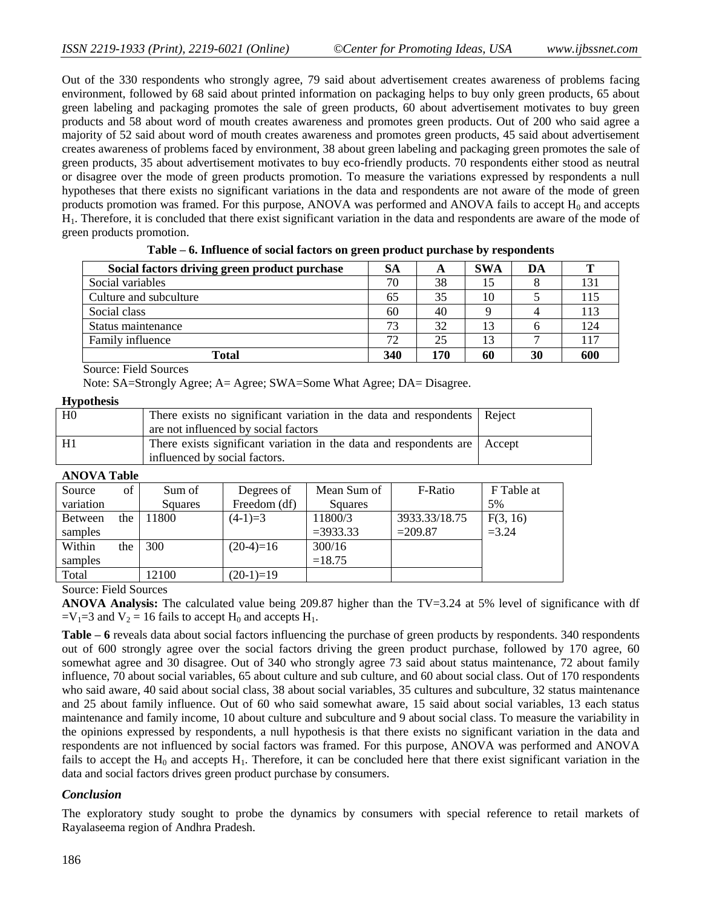Out of the 330 respondents who strongly agree, 79 said about advertisement creates awareness of problems facing environment, followed by 68 said about printed information on packaging helps to buy only green products, 65 about green labeling and packaging promotes the sale of green products, 60 about advertisement motivates to buy green products and 58 about word of mouth creates awareness and promotes green products. Out of 200 who said agree a majority of 52 said about word of mouth creates awareness and promotes green products, 45 said about advertisement creates awareness of problems faced by environment, 38 about green labeling and packaging green promotes the sale of green products, 35 about advertisement motivates to buy eco-friendly products. 70 respondents either stood as neutral or disagree over the mode of green products promotion. To measure the variations expressed by respondents a null hypotheses that there exists no significant variations in the data and respondents are not aware of the mode of green products promotion was framed. For this purpose, ANOVA was performed and ANOVA fails to accept  $H_0$  and accepts H1. Therefore, it is concluded that there exist significant variation in the data and respondents are aware of the mode of green products promotion.

| Social factors driving green product purchase | SА  | A   | <b>SWA</b> | DA |     |
|-----------------------------------------------|-----|-----|------------|----|-----|
| Social variables                              | 70  | 38  |            |    |     |
| Culture and subculture                        | 65  | 35  | 10         |    | 115 |
| Social class                                  | 60  | 40  |            |    |     |
| Status maintenance                            | 73  | 32  |            |    | 124 |
| Family influence                              | 72  | 25  |            |    |     |
| Total                                         | 340 | 170 | 60         | 30 | 600 |

**Table – 6. Influence of social factors on green product purchase by respondents**

Source: Field Sources

Note: SA=Strongly Agree; A= Agree; SWA=Some What Agree; DA= Disagree.

#### **Hypothesis**

| H <sub>0</sub> | There exists no significant variation in the data and respondents   Reject<br>are not influenced by social factors |  |
|----------------|--------------------------------------------------------------------------------------------------------------------|--|
| H1             | There exists significant variation in the data and respondents are Accept<br>influenced by social factors.         |  |

#### **ANOVA Table**

| Source    | of  | Sum of         | Degrees of   | Mean Sum of | F-Ratio       | F Table at |
|-----------|-----|----------------|--------------|-------------|---------------|------------|
| variation |     | <b>Squares</b> | Freedom (df) | Squares     |               | 5%         |
| Between   | the | 11800          | $(4-1)=3$    | 11800/3     | 3933.33/18.75 | F(3, 16)   |
| samples   |     |                |              | $= 3933.33$ | $=209.87$     | $= 3.24$   |
| Within    | the | 300            | $(20-4)=16$  | 300/16      |               |            |
| samples   |     |                |              | $=18.75$    |               |            |
| Total     |     | 12100          | $(20-1)=19$  |             |               |            |

Source: Field Sources

**ANOVA Analysis:** The calculated value being 209.87 higher than the TV=3.24 at 5% level of significance with df  $=V_1=3$  and  $V_2=16$  fails to accept H<sub>0</sub> and accepts H<sub>1</sub>.

**Table – 6** reveals data about social factors influencing the purchase of green products by respondents. 340 respondents out of 600 strongly agree over the social factors driving the green product purchase, followed by 170 agree, 60 somewhat agree and 30 disagree. Out of 340 who strongly agree 73 said about status maintenance, 72 about family influence, 70 about social variables, 65 about culture and sub culture, and 60 about social class. Out of 170 respondents who said aware, 40 said about social class, 38 about social variables, 35 cultures and subculture, 32 status maintenance and 25 about family influence. Out of 60 who said somewhat aware, 15 said about social variables, 13 each status maintenance and family income, 10 about culture and subculture and 9 about social class. To measure the variability in the opinions expressed by respondents, a null hypothesis is that there exists no significant variation in the data and respondents are not influenced by social factors was framed. For this purpose, ANOVA was performed and ANOVA fails to accept the  $H_0$  and accepts  $H_1$ . Therefore, it can be concluded here that there exist significant variation in the data and social factors drives green product purchase by consumers.

#### *Conclusion*

The exploratory study sought to probe the dynamics by consumers with special reference to retail markets of Rayalaseema region of Andhra Pradesh.